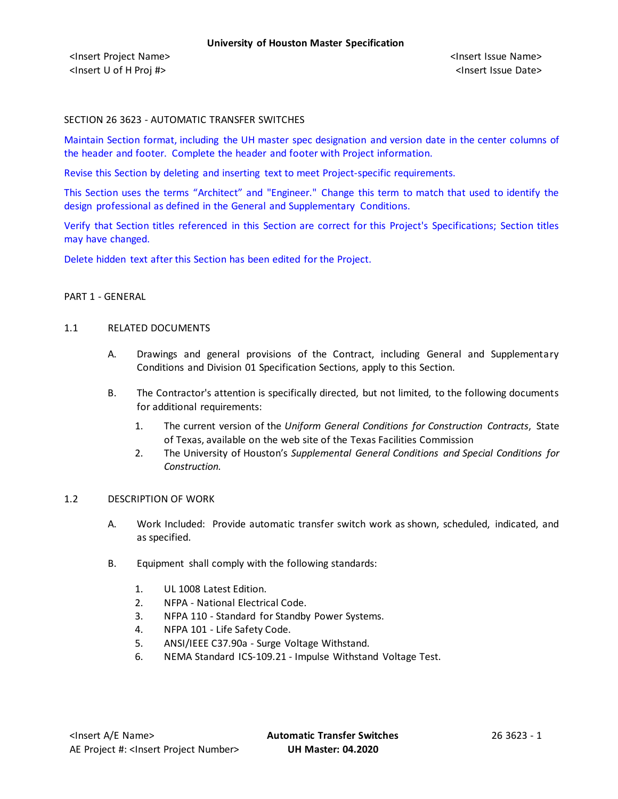### SECTION 26 3623 - AUTOMATIC TRANSFER SWITCHES

Maintain Section format, including the UH master spec designation and version date in the center columns of the header and footer. Complete the header and footer with Project information.

Revise this Section by deleting and inserting text to meet Project-specific requirements.

This Section uses the terms "Architect" and "Engineer." Change this term to match that used to identify the design professional as defined in the General and Supplementary Conditions.

Verify that Section titles referenced in this Section are correct for this Project's Specifications; Section titles may have changed.

Delete hidden text after this Section has been edited for the Project.

### PART 1 - GENERAL

### 1.1 RELATED DOCUMENTS

- A. Drawings and general provisions of the Contract, including General and Supplementary Conditions and Division 01 Specification Sections, apply to this Section.
- B. The Contractor's attention is specifically directed, but not limited, to the following documents for additional requirements:
	- 1. The current version of the *Uniform General Conditions for Construction Contracts*, State of Texas, available on the web site of the Texas Facilities Commission
	- 2. The University of Houston's *Supplemental General Conditions and Special Conditions for Construction.*

#### 1.2 DESCRIPTION OF WORK

- A. Work Included: Provide automatic transfer switch work as shown, scheduled, indicated, and as specified.
- B. Equipment shall comply with the following standards:
	- 1. UL 1008 Latest Edition.
	- 2. NFPA National Electrical Code.
	- 3. NFPA 110 Standard for Standby Power Systems.
	- 4. NFPA 101 Life Safety Code.
	- 5. ANSI/IEEE C37.90a Surge Voltage Withstand.
	- 6. NEMA Standard ICS-109.21 Impulse Withstand Voltage Test.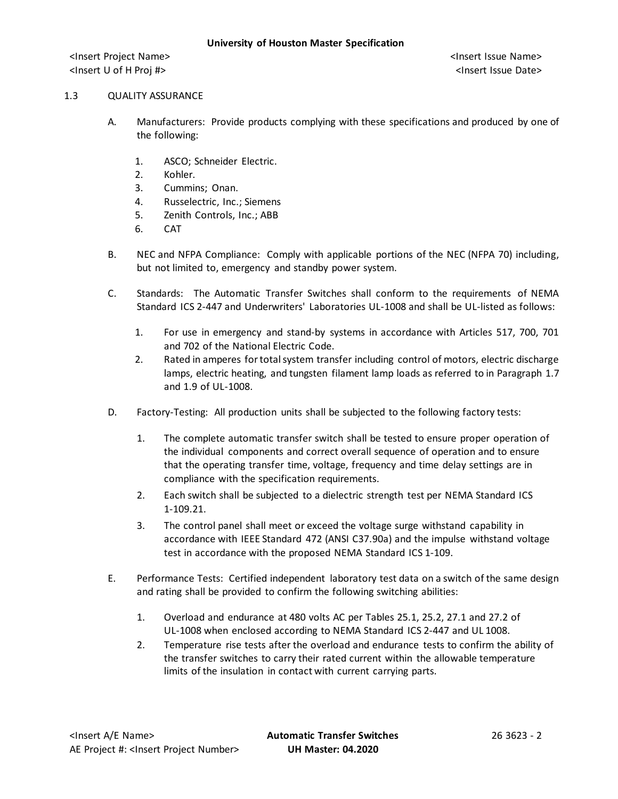### 1.3 QUALITY ASSURANCE

- A. Manufacturers: Provide products complying with these specifications and produced by one of the following:
	- 1. ASCO; Schneider Electric.
	- 2. Kohler.
	- 3. Cummins; Onan.
	- 4. Russelectric, Inc.; Siemens
	- 5. Zenith Controls, Inc.; ABB
	- 6. CAT
- B. NEC and NFPA Compliance: Comply with applicable portions of the NEC (NFPA 70) including, but not limited to, emergency and standby power system.
- C. Standards: The Automatic Transfer Switches shall conform to the requirements of NEMA Standard ICS 2-447 and Underwriters' Laboratories UL-1008 and shall be UL-listed as follows:
	- 1. For use in emergency and stand-by systems in accordance with Articles 517, 700, 701 and 702 of the National Electric Code.
	- 2. Rated in amperes for total system transfer including control of motors, electric discharge lamps, electric heating, and tungsten filament lamp loads as referred to in Paragraph 1.7 and 1.9 of UL-1008.
- D. Factory-Testing: All production units shall be subjected to the following factory tests:
	- 1. The complete automatic transfer switch shall be tested to ensure proper operation of the individual components and correct overall sequence of operation and to ensure that the operating transfer time, voltage, frequency and time delay settings are in compliance with the specification requirements.
	- 2. Each switch shall be subjected to a dielectric strength test per NEMA Standard ICS 1-109.21.
	- 3. The control panel shall meet or exceed the voltage surge withstand capability in accordance with IEEE Standard 472 (ANSI C37.90a) and the impulse withstand voltage test in accordance with the proposed NEMA Standard ICS 1-109.
- E. Performance Tests: Certified independent laboratory test data on a switch of the same design and rating shall be provided to confirm the following switching abilities:
	- 1. Overload and endurance at 480 volts AC per Tables 25.1, 25.2, 27.1 and 27.2 of UL-1008 when enclosed according to NEMA Standard ICS 2-447 and UL 1008.
	- 2. Temperature rise tests after the overload and endurance tests to confirm the ability of the transfer switches to carry their rated current within the allowable temperature limits of the insulation in contact with current carrying parts.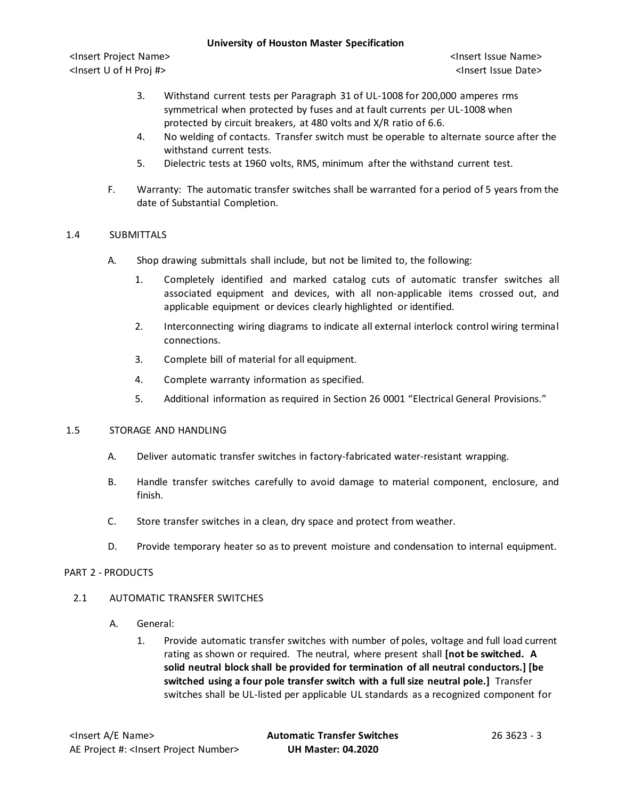<Insert Project Name> <Insert Issue Name> <Insert U of H Proj #> <Insert Issue Date>

- 3. Withstand current tests per Paragraph 31 of UL-1008 for 200,000 amperes rms symmetrical when protected by fuses and at fault currents per UL-1008 when protected by circuit breakers, at 480 volts and X/R ratio of 6.6.
- 4. No welding of contacts. Transfer switch must be operable to alternate source after the withstand current tests.
- 5. Dielectric tests at 1960 volts, RMS, minimum after the withstand current test.
- F. Warranty: The automatic transfer switches shall be warranted for a period of 5 years from the date of Substantial Completion.

# 1.4 SUBMITTALS

- A. Shop drawing submittals shall include, but not be limited to, the following:
	- 1. Completely identified and marked catalog cuts of automatic transfer switches all associated equipment and devices, with all non-applicable items crossed out, and applicable equipment or devices clearly highlighted or identified.
	- 2. Interconnecting wiring diagrams to indicate all external interlock control wiring terminal connections.
	- 3. Complete bill of material for all equipment.
	- 4. Complete warranty information as specified.
	- 5. Additional information as required in Section 26 0001 "Electrical General Provisions."

## 1.5 STORAGE AND HANDLING

- A. Deliver automatic transfer switches in factory-fabricated water-resistant wrapping.
- B. Handle transfer switches carefully to avoid damage to material component, enclosure, and finish.
- C. Store transfer switches in a clean, dry space and protect from weather.
- D. Provide temporary heater so as to prevent moisture and condensation to internal equipment.

## PART 2 - PRODUCTS

## 2.1 AUTOMATIC TRANSFER SWITCHES

- A. General:
	- 1. Provide automatic transfer switches with number of poles, voltage and full load current rating as shown or required. The neutral, where present shall **[not be switched. A solid neutral block shall be provided for termination of all neutral conductors.] [be switched using a four pole transfer switch with a full size neutral pole.]** Transfer switches shall be UL-listed per applicable UL standards as a recognized component for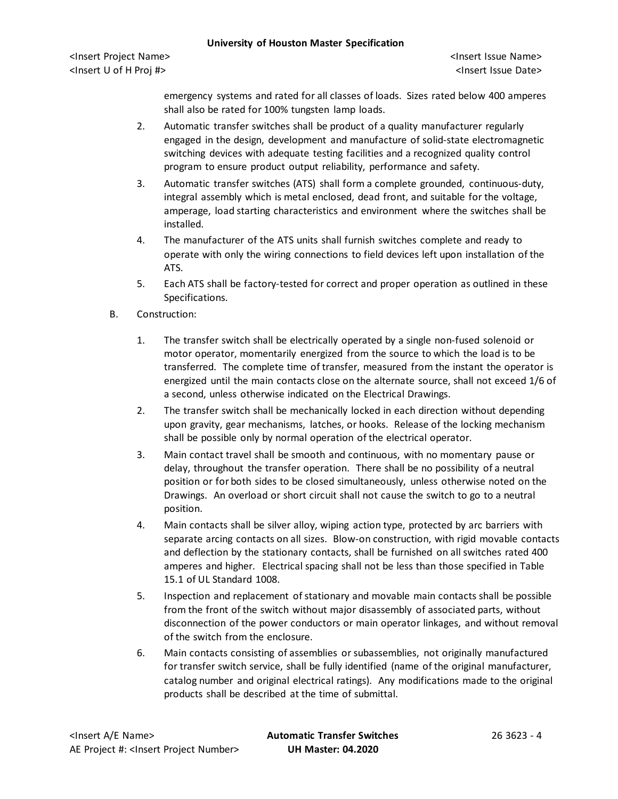<Insert Project Name> <Insert Issue Name> <Insert U of H Proj #> <Insert Issue Date>

emergency systems and rated for all classes of loads. Sizes rated below 400 amperes shall also be rated for 100% tungsten lamp loads.

- 2. Automatic transfer switches shall be product of a quality manufacturer regularly engaged in the design, development and manufacture of solid-state electromagnetic switching devices with adequate testing facilities and a recognized quality control program to ensure product output reliability, performance and safety.
- 3. Automatic transfer switches (ATS) shall form a complete grounded, continuous-duty, integral assembly which is metal enclosed, dead front, and suitable for the voltage, amperage, load starting characteristics and environment where the switches shall be installed.
- 4. The manufacturer of the ATS units shall furnish switches complete and ready to operate with only the wiring connections to field devices left upon installation of the ATS.
- 5. Each ATS shall be factory-tested for correct and proper operation as outlined in these Specifications.
- B. Construction:
	- 1. The transfer switch shall be electrically operated by a single non-fused solenoid or motor operator, momentarily energized from the source to which the load is to be transferred. The complete time of transfer, measured from the instant the operator is energized until the main contacts close on the alternate source, shall not exceed 1/6 of a second, unless otherwise indicated on the Electrical Drawings.
	- 2. The transfer switch shall be mechanically locked in each direction without depending upon gravity, gear mechanisms, latches, or hooks. Release of the locking mechanism shall be possible only by normal operation of the electrical operator.
	- 3. Main contact travel shall be smooth and continuous, with no momentary pause or delay, throughout the transfer operation. There shall be no possibility of a neutral position or for both sides to be closed simultaneously, unless otherwise noted on the Drawings. An overload or short circuit shall not cause the switch to go to a neutral position.
	- 4. Main contacts shall be silver alloy, wiping action type, protected by arc barriers with separate arcing contacts on all sizes. Blow-on construction, with rigid movable contacts and deflection by the stationary contacts, shall be furnished on all switches rated 400 amperes and higher. Electrical spacing shall not be less than those specified in Table 15.1 of UL Standard 1008.
	- 5. Inspection and replacement of stationary and movable main contacts shall be possible from the front of the switch without major disassembly of associated parts, without disconnection of the power conductors or main operator linkages, and without removal of the switch from the enclosure.
	- 6. Main contacts consisting of assemblies or subassemblies, not originally manufactured for transfer switch service, shall be fully identified (name of the original manufacturer, catalog number and original electrical ratings). Any modifications made to the original products shall be described at the time of submittal.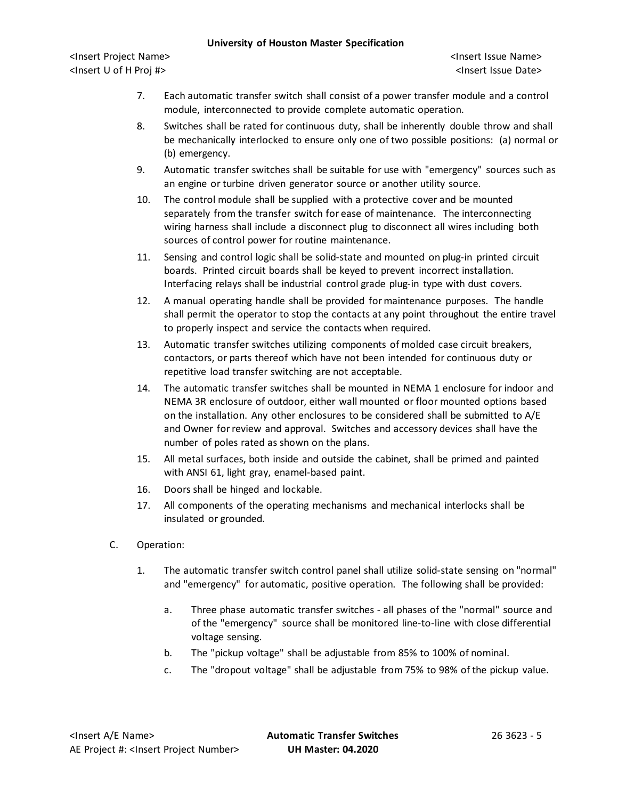<Insert Project Name> <Insert Issue Name> <Insert U of H Proj #> <Insert Issue Date>

- 7. Each automatic transfer switch shall consist of a power transfer module and a control module, interconnected to provide complete automatic operation.
- 8. Switches shall be rated for continuous duty, shall be inherently double throw and shall be mechanically interlocked to ensure only one of two possible positions: (a) normal or (b) emergency.
- 9. Automatic transfer switches shall be suitable for use with "emergency" sources such as an engine or turbine driven generator source or another utility source.
- 10. The control module shall be supplied with a protective cover and be mounted separately from the transfer switch for ease of maintenance. The interconnecting wiring harness shall include a disconnect plug to disconnect all wires including both sources of control power for routine maintenance.
- 11. Sensing and control logic shall be solid-state and mounted on plug-in printed circuit boards. Printed circuit boards shall be keyed to prevent incorrect installation. Interfacing relays shall be industrial control grade plug-in type with dust covers.
- 12. A manual operating handle shall be provided for maintenance purposes. The handle shall permit the operator to stop the contacts at any point throughout the entire travel to properly inspect and service the contacts when required.
- 13. Automatic transfer switches utilizing components of molded case circuit breakers, contactors, or parts thereof which have not been intended for continuous duty or repetitive load transfer switching are not acceptable.
- 14. The automatic transfer switches shall be mounted in NEMA 1 enclosure for indoor and NEMA 3R enclosure of outdoor, either wall mounted or floor mounted options based on the installation. Any other enclosures to be considered shall be submitted to A/E and Owner for review and approval. Switches and accessory devices shall have the number of poles rated as shown on the plans.
- 15. All metal surfaces, both inside and outside the cabinet, shall be primed and painted with ANSI 61, light gray, enamel-based paint.
- 16. Doors shall be hinged and lockable.
- 17. All components of the operating mechanisms and mechanical interlocks shall be insulated or grounded.
- C. Operation:
	- 1. The automatic transfer switch control panel shall utilize solid-state sensing on "normal" and "emergency" for automatic, positive operation. The following shall be provided:
		- a. Three phase automatic transfer switches all phases of the "normal" source and of the "emergency" source shall be monitored line-to-line with close differential voltage sensing.
		- b. The "pickup voltage" shall be adjustable from 85% to 100% of nominal.
		- c. The "dropout voltage" shall be adjustable from 75% to 98% of the pickup value.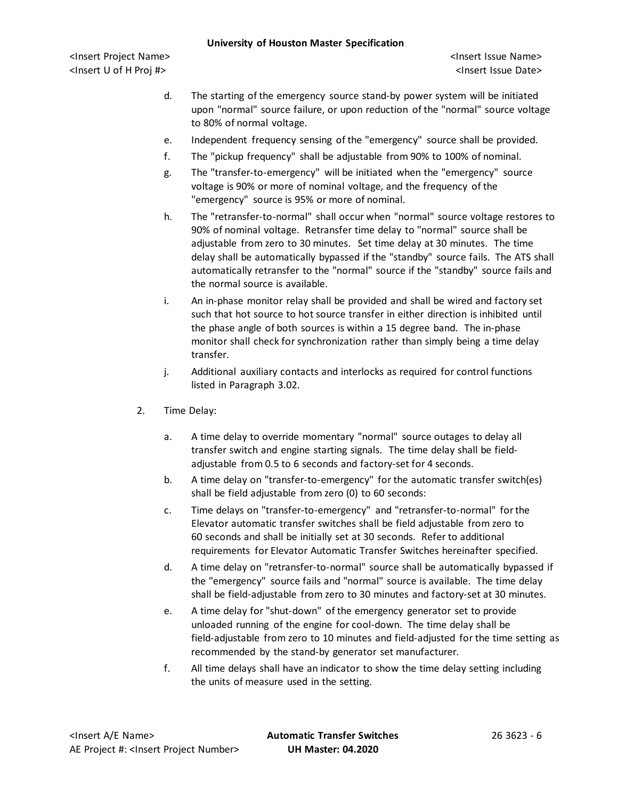<Insert Project Name> <Insert Issue Name> <Insert U of H Proj #> <Insert Issue Date>

- d. The starting of the emergency source stand-by power system will be initiated upon "normal" source failure, or upon reduction of the "normal" source voltage to 80% of normal voltage.
- e. Independent frequency sensing of the "emergency" source shall be provided.
- f. The "pickup frequency" shall be adjustable from 90% to 100% of nominal.
- g. The "transfer-to-emergency" will be initiated when the "emergency" source voltage is 90% or more of nominal voltage, and the frequency of the "emergency" source is 95% or more of nominal.
- h. The "retransfer-to-normal" shall occur when "normal" source voltage restores to 90% of nominal voltage. Retransfer time delay to "normal" source shall be adjustable from zero to 30 minutes. Set time delay at 30 minutes. The time delay shall be automatically bypassed if the "standby" source fails. The ATS shall automatically retransfer to the "normal" source if the "standby" source fails and the normal source is available.
- i. An in-phase monitor relay shall be provided and shall be wired and factory set such that hot source to hot source transfer in either direction is inhibited until the phase angle of both sources is within a 15 degree band. The in-phase monitor shall check for synchronization rather than simply being a time delay transfer.
- j. Additional auxiliary contacts and interlocks as required for control functions listed in Paragraph 3.02.
- 2. Time Delay:
	- a. A time delay to override momentary "normal" source outages to delay all transfer switch and engine starting signals. The time delay shall be fieldadjustable from 0.5 to 6 seconds and factory-set for 4 seconds.
	- b. A time delay on "transfer-to-emergency" for the automatic transfer switch(es) shall be field adjustable from zero (0) to 60 seconds:
	- c. Time delays on "transfer-to-emergency" and "retransfer-to-normal" for the Elevator automatic transfer switches shall be field adjustable from zero to 60 seconds and shall be initially set at 30 seconds. Refer to additional requirements for Elevator Automatic Transfer Switches hereinafter specified.
	- d. A time delay on "retransfer-to-normal" source shall be automatically bypassed if the "emergency" source fails and "normal" source is available. The time delay shall be field-adjustable from zero to 30 minutes and factory-set at 30 minutes.
	- e. A time delay for "shut-down" of the emergency generator set to provide unloaded running of the engine for cool-down. The time delay shall be field-adjustable from zero to 10 minutes and field-adjusted for the time setting as recommended by the stand-by generator set manufacturer.
	- f. All time delays shall have an indicator to show the time delay setting including the units of measure used in the setting.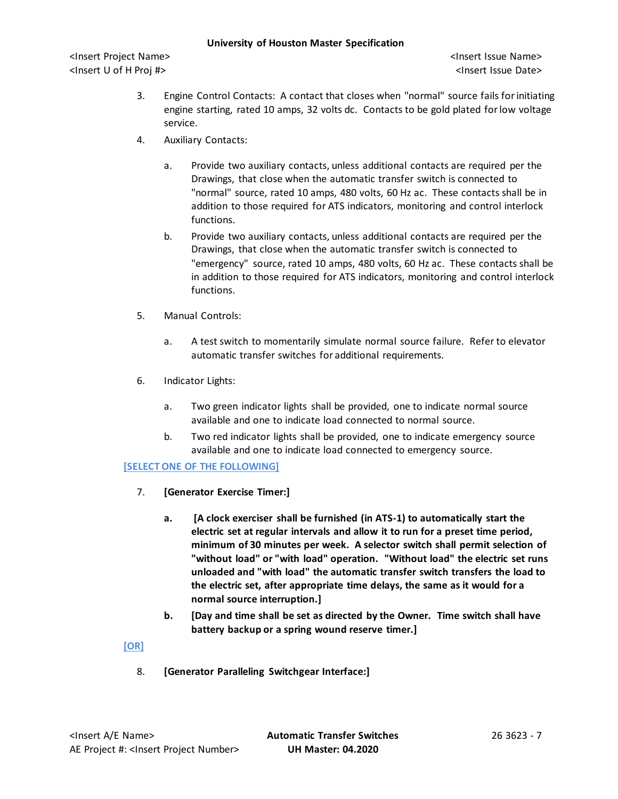<Insert Project Name> <Insert Issue Name> <Insert U of H Proj #> <Insert Issue Date>

- 3. Engine Control Contacts: A contact that closes when "normal" source fails for initiating engine starting, rated 10 amps, 32 volts dc. Contacts to be gold plated for low voltage service.
- 4. Auxiliary Contacts:
	- a. Provide two auxiliary contacts, unless additional contacts are required per the Drawings, that close when the automatic transfer switch is connected to "normal" source, rated 10 amps, 480 volts, 60 Hz ac. These contacts shall be in addition to those required for ATS indicators, monitoring and control interlock functions.
	- b. Provide two auxiliary contacts, unless additional contacts are required per the Drawings, that close when the automatic transfer switch is connected to "emergency" source, rated 10 amps, 480 volts, 60 Hz ac. These contacts shall be in addition to those required for ATS indicators, monitoring and control interlock functions.
- 5. Manual Controls:
	- a. A test switch to momentarily simulate normal source failure. Refer to elevator automatic transfer switches for additional requirements.
- 6. Indicator Lights:
	- a. Two green indicator lights shall be provided, one to indicate normal source available and one to indicate load connected to normal source.
	- b. Two red indicator lights shall be provided, one to indicate emergency source available and one to indicate load connected to emergency source.

## **[SELECT ONE OF THE FOLLOWING]**

- 7. **[Generator Exercise Timer:]**
	- **a. [A clock exerciser shall be furnished (in ATS-1) to automatically start the electric set at regular intervals and allow it to run for a preset time period, minimum of 30 minutes per week. A selector switch shall permit selection of "without load" or "with load" operation. "Without load" the electric set runs unloaded and "with load" the automatic transfer switch transfers the load to the electric set, after appropriate time delays, the same as it would for a normal source interruption.]**
	- **b. [Day and time shall be set as directed by the Owner. Time switch shall have battery backup or a spring wound reserve timer.]**

# **[OR]**

8. **[Generator Paralleling Switchgear Interface:]**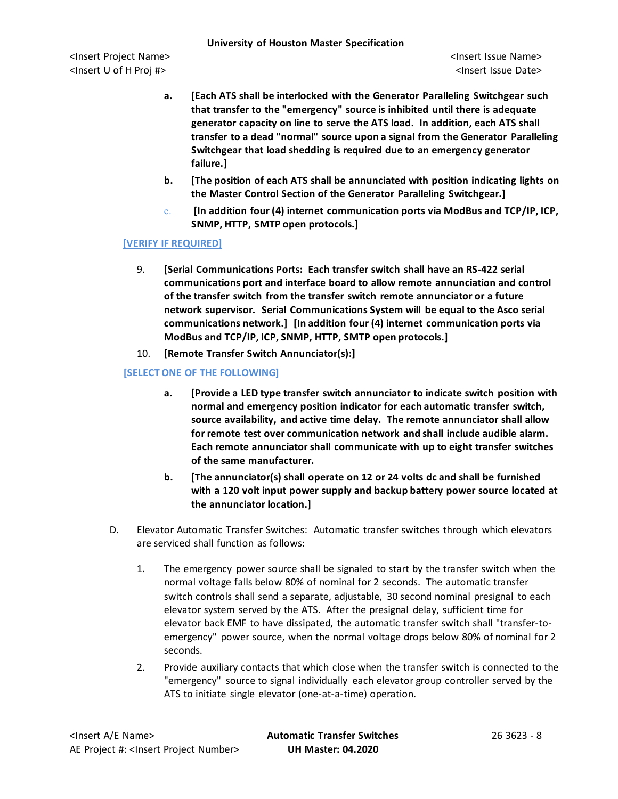- **a. [Each ATS shall be interlocked with the Generator Paralleling Switchgear such that transfer to the "emergency" source is inhibited until there is adequate generator capacity on line to serve the ATS load. In addition, each ATS shall transfer to a dead "normal" source upon a signal from the Generator Paralleling Switchgear that load shedding is required due to an emergency generator failure.]**
- **b. [The position of each ATS shall be annunciated with position indicating lights on the Master Control Section of the Generator Paralleling Switchgear.]**
- c. **[In addition four (4) internet communication ports via ModBus and TCP/IP, ICP, SNMP, HTTP, SMTP open protocols.]**

# **[VERIFY IF REQUIRED]**

- 9. **[Serial Communications Ports: Each transfer switch shall have an RS-422 serial communications port and interface board to allow remote annunciation and control of the transfer switch from the transfer switch remote annunciator or a future network supervisor. Serial Communications System will be equal to the Asco serial communications network.] [In addition four (4) internet communication ports via ModBus and TCP/IP, ICP, SNMP, HTTP, SMTP open protocols.]**
- 10. **[Remote Transfer Switch Annunciator(s):]**

# **[SELECT ONE OF THE FOLLOWING]**

- **a. [Provide a LED type transfer switch annunciator to indicate switch position with normal and emergency position indicator for each automatic transfer switch, source availability, and active time delay. The remote annunciator shall allow for remote test over communication network and shall include audible alarm. Each remote annunciator shall communicate with up to eight transfer switches of the same manufacturer.**
- **b. [The annunciator(s) shall operate on 12 or 24 volts dc and shall be furnished with a 120 volt input power supply and backup battery power source located at the annunciator location.]**
- D. Elevator Automatic Transfer Switches: Automatic transfer switches through which elevators are serviced shall function as follows:
	- 1. The emergency power source shall be signaled to start by the transfer switch when the normal voltage falls below 80% of nominal for 2 seconds. The automatic transfer switch controls shall send a separate, adjustable, 30 second nominal presignal to each elevator system served by the ATS. After the presignal delay, sufficient time for elevator back EMF to have dissipated, the automatic transfer switch shall "transfer-toemergency" power source, when the normal voltage drops below 80% of nominal for 2 seconds.
	- 2. Provide auxiliary contacts that which close when the transfer switch is connected to the "emergency" source to signal individually each elevator group controller served by the ATS to initiate single elevator (one-at-a-time) operation.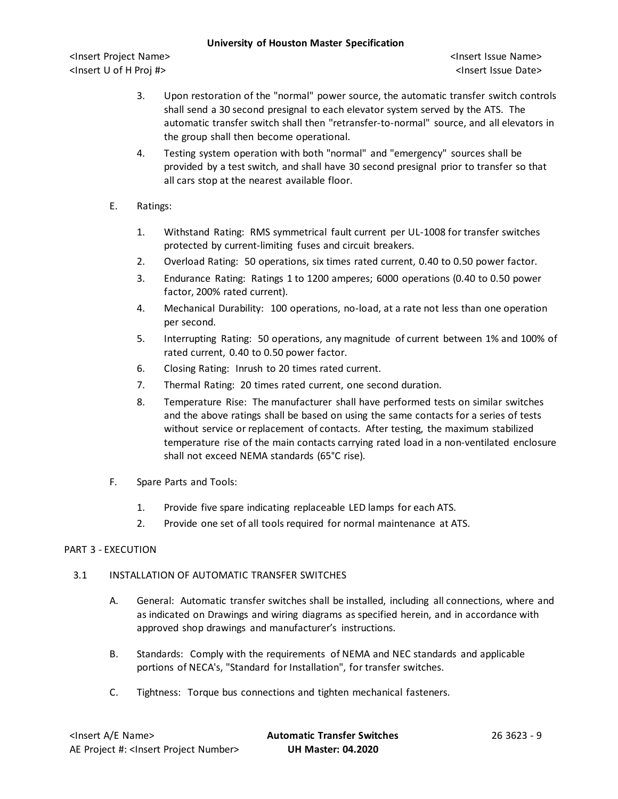<Insert Project Name> <Insert Issue Name> <Insert U of H Proj #> <Insert Issue Date>

- 3. Upon restoration of the "normal" power source, the automatic transfer switch controls shall send a 30 second presignal to each elevator system served by the ATS. The automatic transfer switch shall then "retransfer-to-normal" source, and all elevators in the group shall then become operational.
- 4. Testing system operation with both "normal" and "emergency" sources shall be provided by a test switch, and shall have 30 second presignal prior to transfer so that all cars stop at the nearest available floor.
- E. Ratings:
	- 1. Withstand Rating: RMS symmetrical fault current per UL-1008 for transfer switches protected by current-limiting fuses and circuit breakers.
	- 2. Overload Rating: 50 operations, six times rated current, 0.40 to 0.50 power factor.
	- 3. Endurance Rating: Ratings 1 to 1200 amperes; 6000 operations (0.40 to 0.50 power factor, 200% rated current).
	- 4. Mechanical Durability: 100 operations, no-load, at a rate not less than one operation per second.
	- 5. Interrupting Rating: 50 operations, any magnitude of current between 1% and 100% of rated current, 0.40 to 0.50 power factor.
	- 6. Closing Rating: Inrush to 20 times rated current.
	- 7. Thermal Rating: 20 times rated current, one second duration.
	- 8. Temperature Rise: The manufacturer shall have performed tests on similar switches and the above ratings shall be based on using the same contacts for a series of tests without service or replacement of contacts. After testing, the maximum stabilized temperature rise of the main contacts carrying rated load in a non-ventilated enclosure shall not exceed NEMA standards (65°C rise).
- F. Spare Parts and Tools:
	- 1. Provide five spare indicating replaceable LED lamps for each ATS.
	- 2. Provide one set of all tools required for normal maintenance at ATS.

## PART 3 - EXECUTION

## 3.1 INSTALLATION OF AUTOMATIC TRANSFER SWITCHES

- A. General: Automatic transfer switches shall be installed, including all connections, where and as indicated on Drawings and wiring diagrams as specified herein, and in accordance with approved shop drawings and manufacturer's instructions.
- B. Standards: Comply with the requirements of NEMA and NEC standards and applicable portions of NECA's, "Standard for Installation", for transfer switches.
- C. Tightness: Torque bus connections and tighten mechanical fasteners.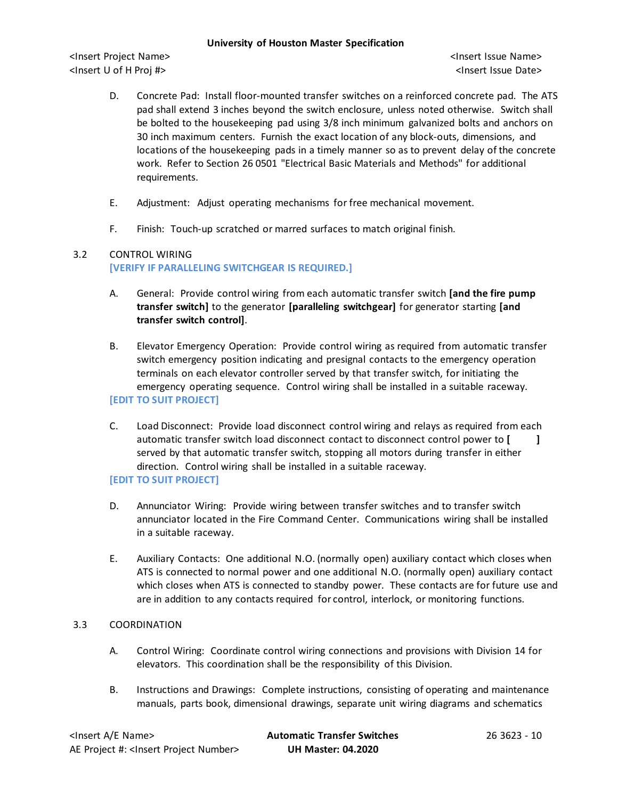<Insert Project Name> <Insert Issue Name> <Insert U of H Proj #> <Insert Issue Date>

- D. Concrete Pad: Install floor-mounted transfer switches on a reinforced concrete pad. The ATS pad shall extend 3 inches beyond the switch enclosure, unless noted otherwise. Switch shall be bolted to the housekeeping pad using 3/8 inch minimum galvanized bolts and anchors on 30 inch maximum centers. Furnish the exact location of any block-outs, dimensions, and locations of the housekeeping pads in a timely manner so as to prevent delay of the concrete work. Refer to Section 26 0501 "Electrical Basic Materials and Methods" for additional requirements.
- E. Adjustment: Adjust operating mechanisms for free mechanical movement.
- F. Finish: Touch-up scratched or marred surfaces to match original finish.

### 3.2 CONTROL WIRING **[VERIFY IF PARALLELING SWITCHGEAR IS REQUIRED.]**

- A. General: Provide control wiring from each automatic transfer switch **[and the fire pump transfer switch]** to the generator **[paralleling switchgear]** for generator starting **[and transfer switch control]**.
- B. Elevator Emergency Operation: Provide control wiring as required from automatic transfer switch emergency position indicating and presignal contacts to the emergency operation terminals on each elevator controller served by that transfer switch, for initiating the emergency operating sequence. Control wiring shall be installed in a suitable raceway. **[EDIT TO SUIT PROJECT]**
- C. Load Disconnect: Provide load disconnect control wiring and relays as required from each automatic transfer switch load disconnect contact to disconnect control power to **[ ]** served by that automatic transfer switch, stopping all motors during transfer in either direction. Control wiring shall be installed in a suitable raceway.

## **[EDIT TO SUIT PROJECT]**

- D. Annunciator Wiring: Provide wiring between transfer switches and to transfer switch annunciator located in the Fire Command Center. Communications wiring shall be installed in a suitable raceway.
- E. Auxiliary Contacts: One additional N.O. (normally open) auxiliary contact which closes when ATS is connected to normal power and one additional N.O. (normally open) auxiliary contact which closes when ATS is connected to standby power. These contacts are for future use and are in addition to any contacts required for control, interlock, or monitoring functions.

## 3.3 COORDINATION

- A. Control Wiring: Coordinate control wiring connections and provisions with Division 14 for elevators. This coordination shall be the responsibility of this Division.
- B. Instructions and Drawings: Complete instructions, consisting of operating and maintenance manuals, parts book, dimensional drawings, separate unit wiring diagrams and schematics